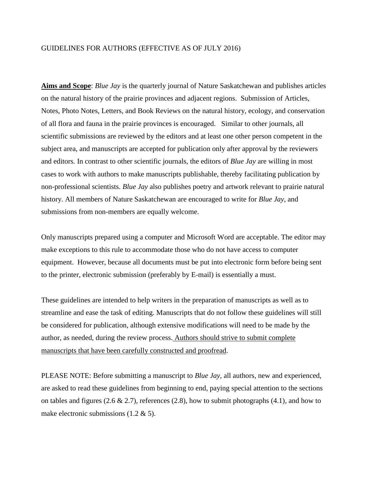## GUIDELINES FOR AUTHORS (EFFECTIVE AS OF JULY 2016)

**Aims and Scope**: *Blue Jay* is the quarterly journal of Nature Saskatchewan and publishes articles on the natural history of the prairie provinces and adjacent regions. Submission of Articles, Notes, Photo Notes, Letters, and Book Reviews on the natural history, ecology, and conservation of all flora and fauna in the prairie provinces is encouraged. Similar to other journals, all scientific submissions are reviewed by the editors and at least one other person competent in the subject area, and manuscripts are accepted for publication only after approval by the reviewers and editors. In contrast to other scientific journals, the editors of *Blue Jay* are willing in most cases to work with authors to make manuscripts publishable, thereby facilitating publication by non-professional scientists. *Blue Jay* also publishes poetry and artwork relevant to prairie natural history. All members of Nature Saskatchewan are encouraged to write for *Blue Jay*, and submissions from non-members are equally welcome.

Only manuscripts prepared using a computer and Microsoft Word are acceptable. The editor may make exceptions to this rule to accommodate those who do not have access to computer equipment. However, because all documents must be put into electronic form before being sent to the printer, electronic submission (preferably by E-mail) is essentially a must.

These guidelines are intended to help writers in the preparation of manuscripts as well as to streamline and ease the task of editing. Manuscripts that do not follow these guidelines will still be considered for publication, although extensive modifications will need to be made by the author, as needed, during the review process. Authors should strive to submit complete manuscripts that have been carefully constructed and proofread.

PLEASE NOTE: Before submitting a manuscript to *Blue Jay*, all authors, new and experienced, are asked to read these guidelines from beginning to end, paying special attention to the sections on tables and figures (2.6  $\&$  2.7), references (2.8), how to submit photographs (4.1), and how to make electronic submissions  $(1.2 \& 5)$ .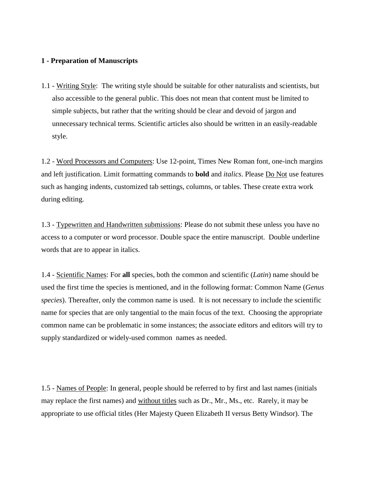### **1 - Preparation of Manuscripts**

1.1 - Writing Style: The writing style should be suitable for other naturalists and scientists, but also accessible to the general public. This does not mean that content must be limited to simple subjects, but rather that the writing should be clear and devoid of jargon and unnecessary technical terms. Scientific articles also should be written in an easily-readable style.

1.2 - Word Processors and Computers: Use 12-point, Times New Roman font, one-inch margins and left justification. Limit formatting commands to **bold** and *italics*. Please Do Not use features such as hanging indents, customized tab settings, columns, or tables. These create extra work during editing.

1.3 - Typewritten and Handwritten submissions: Please do not submit these unless you have no access to a computer or word processor. Double space the entire manuscript. Double underline words that are to appear in italics.

1.4 - Scientific Names: For **all** species, both the common and scientific (*Latin*) name should be used the first time the species is mentioned, and in the following format: Common Name (*Genus species*). Thereafter, only the common name is used. It is not necessary to include the scientific name for species that are only tangential to the main focus of the text. Choosing the appropriate common name can be problematic in some instances; the associate editors and editors will try to supply standardized or widely-used common names as needed.

1.5 - Names of People: In general, people should be referred to by first and last names (initials may replace the first names) and without titles such as Dr., Mr., Ms., etc. Rarely, it may be appropriate to use official titles (Her Majesty Queen Elizabeth II versus Betty Windsor). The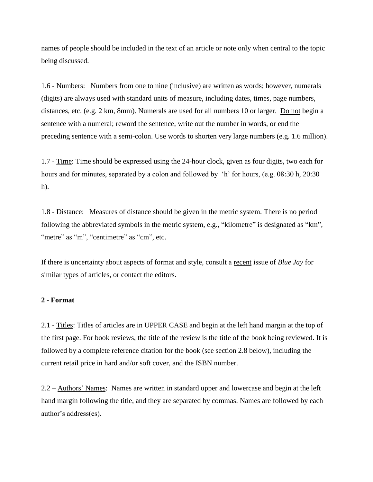names of people should be included in the text of an article or note only when central to the topic being discussed.

1.6 - Numbers: Numbers from one to nine (inclusive) are written as words; however, numerals (digits) are always used with standard units of measure, including dates, times, page numbers, distances, etc. (e.g. 2 km, 8mm). Numerals are used for all numbers 10 or larger. Do not begin a sentence with a numeral; reword the sentence, write out the number in words, or end the preceding sentence with a semi-colon. Use words to shorten very large numbers (e.g. 1.6 million).

1.7 - Time: Time should be expressed using the 24-hour clock, given as four digits, two each for hours and for minutes, separated by a colon and followed by 'h' for hours, (e.g. 08:30 h, 20:30 h).

1.8 - Distance: Measures of distance should be given in the metric system. There is no period following the abbreviated symbols in the metric system, e.g., "kilometre" is designated as "km", "metre" as "m", "centimetre" as "cm", etc.

If there is uncertainty about aspects of format and style, consult a recent issue of *Blue Jay* for similar types of articles, or contact the editors.

#### **2 - Format**

2.1 - Titles: Titles of articles are in UPPER CASE and begin at the left hand margin at the top of the first page. For book reviews, the title of the review is the title of the book being reviewed. It is followed by a complete reference citation for the book (see section 2.8 below), including the current retail price in hard and/or soft cover, and the ISBN number.

2.2 – Authors' Names: Names are written in standard upper and lowercase and begin at the left hand margin following the title, and they are separated by commas. Names are followed by each author's address(es).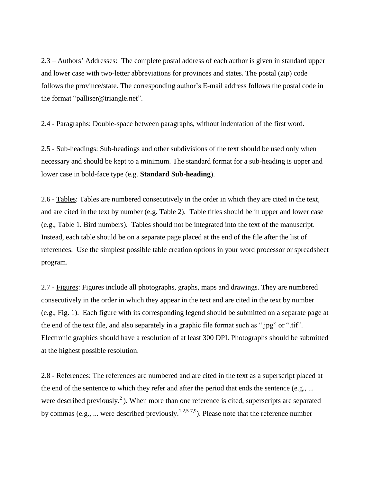2.3 – Authors' Addresses: The complete postal address of each author is given in standard upper and lower case with two-letter abbreviations for provinces and states. The postal (zip) code follows the province/state. The corresponding author's E-mail address follows the postal code in the format "palliser@triangle.net".

2.4 - Paragraphs: Double-space between paragraphs, without indentation of the first word.

2.5 - Sub-headings: Sub-headings and other subdivisions of the text should be used only when necessary and should be kept to a minimum. The standard format for a sub-heading is upper and lower case in bold-face type (e.g. **Standard Sub-heading**).

2.6 - Tables: Tables are numbered consecutively in the order in which they are cited in the text, and are cited in the text by number (e.g. Table 2). Table titles should be in upper and lower case (e.g., Table 1. Bird numbers). Tables should not be integrated into the text of the manuscript. Instead, each table should be on a separate page placed at the end of the file after the list of references. Use the simplest possible table creation options in your word processor or spreadsheet program.

2.7 - Figures: Figures include all photographs, graphs, maps and drawings. They are numbered consecutively in the order in which they appear in the text and are cited in the text by number (e.g., Fig. 1). Each figure with its corresponding legend should be submitted on a separate page at the end of the text file, and also separately in a graphic file format such as ".jpg" or ".tif". Electronic graphics should have a resolution of at least 300 DPI. Photographs should be submitted at the highest possible resolution.

2.8 - References: The references are numbered and are cited in the text as a superscript placed at the end of the sentence to which they refer and after the period that ends the sentence (e.g., ... were described previously.<sup>2</sup>). When more than one reference is cited, superscripts are separated by commas (e.g., ... were described previously.<sup>1,2,5-7,9</sup>). Please note that the reference number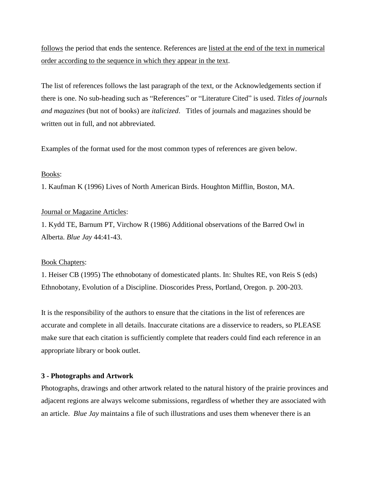follows the period that ends the sentence. References are listed at the end of the text in numerical order according to the sequence in which they appear in the text.

The list of references follows the last paragraph of the text, or the Acknowledgements section if there is one. No sub-heading such as "References" or "Literature Cited" is used. *Titles of journals and magazines* (but not of books) are *italicized*. Titles of journals and magazines should be written out in full, and not abbreviated.

Examples of the format used for the most common types of references are given below.

# Books:

1. Kaufman K (1996) Lives of North American Birds. Houghton Mifflin, Boston, MA.

## Journal or Magazine Articles:

1. Kydd TE, Barnum PT, Virchow R (1986) Additional observations of the Barred Owl in Alberta. *Blue Jay* 44:41-43.

## Book Chapters:

1. Heiser CB (1995) The ethnobotany of domesticated plants. In: Shultes RE, von Reis S (eds) Ethnobotany, Evolution of a Discipline. Dioscorides Press, Portland, Oregon. p. 200-203.

It is the responsibility of the authors to ensure that the citations in the list of references are accurate and complete in all details. Inaccurate citations are a disservice to readers, so PLEASE make sure that each citation is sufficiently complete that readers could find each reference in an appropriate library or book outlet.

## **3 - Photographs and Artwork**

Photographs, drawings and other artwork related to the natural history of the prairie provinces and adjacent regions are always welcome submissions, regardless of whether they are associated with an article. *Blue Jay* maintains a file of such illustrations and uses them whenever there is an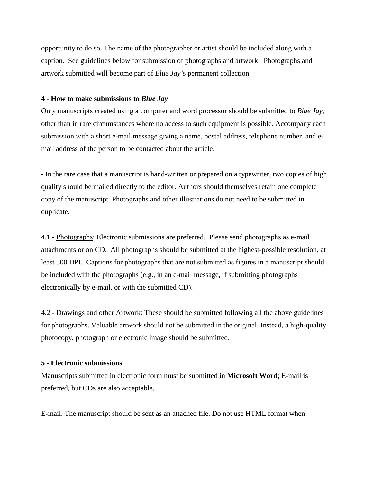opportunity to do so. The name of the photographer or artist should be included along with a caption. See guidelines below for submission of photographs and artwork. Photographs and artwork submitted will become part of *Blue Jay'*s permanent collection.

#### **4 - How to make submissions to** *Blue Jay*

Only manuscripts created using a computer and word processor should be submitted to *Blue Jay*, other than in rare circumstances where no access to such equipment is possible. Accompany each submission with a short e-mail message giving a name, postal address, telephone number, and email address of the person to be contacted about the article.

- In the rare case that a manuscript is hand-written or prepared on a typewriter, two copies of high quality should be mailed directly to the editor. Authors should themselves retain one complete copy of the manuscript. Photographs and other illustrations do not need to be submitted in duplicate.

4.1 - Photographs: Electronic submissions are preferred. Please send photographs as e-mail attachments or on CD. All photographs should be submitted at the highest-possible resolution, at least 300 DPI. Captions for photographs that are not submitted as figures in a manuscript should be included with the photographs (e.g., in an e-mail message, if submitting photographs electronically by e-mail, or with the submitted CD).

4.2 - Drawings and other Artwork: These should be submitted following all the above guidelines for photographs. Valuable artwork should not be submitted in the original. Instead, a high-quality photocopy, photograph or electronic image should be submitted.

#### **5 - Electronic submissions**

Manuscripts submitted in electronic form must be submitted in **Microsoft Word**; E-mail is preferred, but CDs are also acceptable.

E-mail. The manuscript should be sent as an attached file. Do not use HTML format when